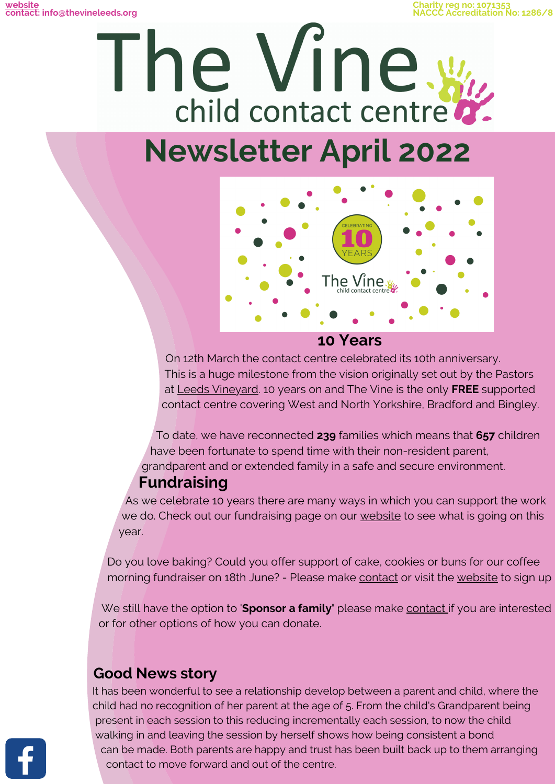**Charity reg no: 1071353 NACCC Accreditation No: 1286/8**





### **10 Years**

On 12th March the contact centre celebrated its 10th anniversary. This is a huge milestone from the vision originally set out by the Pastors at Leeds [Vineyard](https://leedsvineyard.org/?msclkid=f9b1274ec48a11ecbd871f68a4d75de9). 10 years on and The Vine is the only **FREE** supported contact centre covering West and North Yorkshire, Bradford and Bingley.

To date, we have reconnected **239** families which means that **657** children have been fortunate to spend time with their non-resident parent, grandparent and or extended family in a safe and secure environment.

### **Fundraising**

As we celebrate 10 years there are many ways in which you can support the work we do. Check out our fundraising page on our [website](https://www.thevineleeds.org/Articles/631867/The_Vine_Leeds/Getting_involved/10_Years.aspx?redirected=1) to see what is going on this year.

Do you love baking? Could you offer support of cake, cookies or buns for our coffee morning fundraiser on 18th June? - Please make [contact](https://thevineleeds.org/Groups/209427/The_Vine_Leeds/Contact_us/Contact_us.aspx) or visit the [website](https://www.thevineleeds.org/Articles/631867/The_Vine_Leeds/Getting_involved/10_Years.aspx?redirected=1) to sign up

We still have the option to '**Sponsor a family'** please make [contact](https://www.thevineleeds.org/Groups/239002/The_Vine_Leeds/Getting_involved/Financially/Financially.aspx) if you are interested or for other options of how you can donate.

### **Good News story**

It has been wonderful to see a relationship develop between a parent and child, where the child had no recognition of her parent at the age of 5. From the child's Grandparent being present in each session to this reducing incrementally each session, to now the child walking in and leaving the session by herself shows how being consistent a bond can be made. Both parents are happy and trust has been built back up to them arranging contact to move forward and out of the centre.